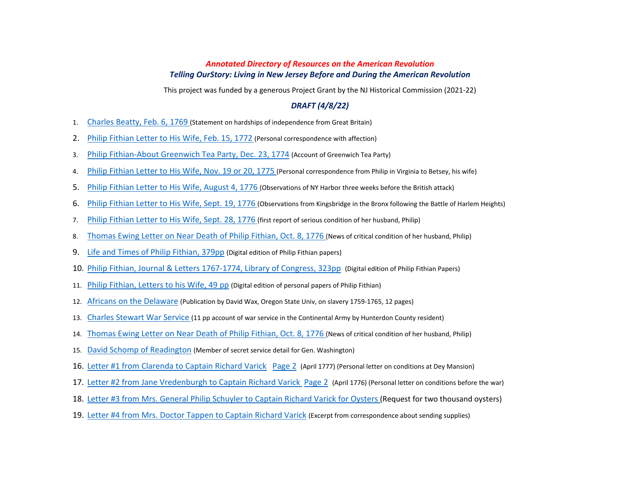# *Annotated Directory of Resources on the American Revolution Telling OurStory: Living in New Jersey Before and During the American Revolution*

This project was funded by a generous Project Grant by the NJ Historical Commission (2021-22)

### *DRAFT (4/8/22)*

- 1. [Charles Beatty, Feb. 6, 1769](https://d.docs.live.net/252d5c52120b98b7/Desktop/Am%20Revolution%20Focus%20Group/Resources-Philip%20Fithian/Charles-Beatty-February-6-1769.pdf) (Statement on hardships of independence from Great Britain)
- 2. [Philip Fithian Letter to His Wife, Feb. 15, 1772](https://d.docs.live.net/252d5c52120b98b7/Desktop/Am%20Revolution%20Focus%20Group/Resources-Philip%20Fithian/Philip-Fithian%20Letter-to-His-Wife-February%2015-1772.pdf) (Personal correspondence with affection)
- 3. [Philip Fithian-About Greenwich Tea Party, Dec. 23, 1774](https://d.docs.live.net/252d5c52120b98b7/Desktop/Am%20Revolution%20Focus%20Group/Resources-Philip%20Fithian/Philip-Fithian-About-Greenwich-Tea-Party-Dec-23-1774.pdf) (Account of Greenwich Tea Party)
- 4. [Philip Fithian Letter to His Wife, Nov. 19 or 20, 1775](https://d.docs.live.net/252d5c52120b98b7/Desktop/Am%20Revolution%20Focus%20Group/Resources-Philip%20Fithian/Philip-Fithian-Letter-to-His-Wife-Nov-19-20-1775.pdf) (Personal correspondence from Philip in Virginia to Betsey, his wife)
- 5. [Philip Fithian Letter to His Wife, August 4, 1776](https://d.docs.live.net/252d5c52120b98b7/Desktop/Am%20Revolution%20Focus%20Group/Resources-Philip%20Fithian/Philip-Fithian-To-His-Wife-August-4-1776.pdf) (Observations of NY Harbor three weeks before the British attack)
- 6. [Philip Fithian Letter to His Wife, Sept. 19, 1776](https://d.docs.live.net/252d5c52120b98b7/Desktop/Am%20Revolution%20Focus%20Group/Resources-Philip%20Fithian/Philip-Fithian-Letter-to-His-Wife-Sept-19-1776.pdf) (Observations from Kingsbridge in the Bronx following the Battle of Harlem Heights)
- 7. [Philip Fithian Letter to His Wife, Sept. 28, 1776](https://d.docs.live.net/252d5c52120b98b7/Desktop/Am%20Revolution%20Focus%20Group/Resources-Philip%20Fithian/Philip-Fithian-Letter-to-His-Wife-Sept-28-1776.pdf) (first report of serious condition of her husband, Philip)
- 8. [Thomas Ewing Letter on Near Death of Philip Fithian, Oct. 8, 1776](https://d.docs.live.net/252d5c52120b98b7/Desktop/Am%20Revolution%20Focus%20Group/Resources-Philip%20Fithian/Thomas-Ewing-Letter-On-Near-Death-of-Philip-Fithian-Oct.%208-20-1776.pdf) (News of critical condition of her husband, Philip)
- 9. [Life and Times of Philip Fithian, 379pp](https://d.docs.live.net/252d5c52120b98b7/Desktop/Am%20Revolution%20Focus%20Group/Resources-Philip%20Fithian/Life-and-Times-of-Philip-Fithian-379pp.pdf) (Digital edition of Philip Fithian papers)
- 10. [Philip Fithian, Journal & Letters 1767-1774, Library of Congress, 323pp](https://d.docs.live.net/252d5c52120b98b7/Desktop/Am%20Revolution%20Focus%20Group/Resources-Philip%20Fithian/Philip-Fithian-Journal-and-Letters-1767%E2%80%931774-Library-of-Congress-323pp.pdf) (Digital edition of Philip Fithian Papers)
- 11. [Philip Fithian, Letters to his Wife, 49 pp](https://d.docs.live.net/252d5c52120b98b7/Desktop/Am%20Revolution%20Focus%20Group/Resources-Philip%20Fithian/Philip-Fithian-Letters-to-His-Wife-Elizabeth%20Beatty%20Fithian-49pp.pdf) (Digital edition of personal papers of Philip Fithian)
- 12. [Africans on the Delaware](https://d.docs.live.net/252d5c52120b98b7/Desktop/Am%20Revolution%20Focus%20Group/Resources%20for%20the%20American%20Revolution%20in%20New%20Jersey/Africans-on-Delaware-12pp.pdf) (Publication by David Wax, Oregon State Univ, on slavery 1759-1765, 12 pages)
- 13. [Charles Stewart War Service](https://d.docs.live.net/252d5c52120b98b7/Desktop/Am%20Revolution%20Focus%20Group/Resources%20for%20the%20American%20Revolution%20in%20New%20Jersey/Charles-Stewart-War-Service-4pp.pdf) (11 pp account of war service in the Continental Army by Hunterdon County resident)
- 14. [Thomas Ewing Letter on Near Death of Philip Fithian, Oct. 8, 1776](https://d.docs.live.net/252d5c52120b98b7/Desktop/Am%20Revolution%20Focus%20Group/Resources-Philip%20Fithian/Thomas-Ewing-Letter-On-Near-Death-of-Philip-Fithian-Oct.%208-20-1776.pdf) (News of critical condition of her husband, Philip)
- 15. [David Schomp of Readington](https://d.docs.live.net/252d5c52120b98b7/Desktop/Am%20Revolution%20Focus%20Group/Resources%20for%20the%20American%20Revolution%20in%20New%20Jersey/David%20Schomf%20of%20Readington-Page%201.docx) (Member of secret service detail for Gen. Washington)
- 16. [Letter #1 from Clarenda to Captain Richard Varick](https://d.docs.live.net/252d5c52120b98b7/Desktop/Am%20Revolution%20Focus%20Group/Resources-Dey-Mansion/Letter%20%5EN1%20from%20Clarenda%20to%20Capt%20Richard%20Varick-Page1.pdf) [Page 2](https://d.docs.live.net/252d5c52120b98b7/Desktop/Am%20Revolution%20Focus%20Group/Resources-Dey-Mansion/Letter%20%5EN1%20from%20Clarenda%20to%20Capt%20Richard%20Varick-Page%202.pdf) (April 1777) (Personal letter on conditions at Dey Mansion)
- 17. [Letter #2 from Jane Vredenburgh to Captain Richard Varick](https://d.docs.live.net/252d5c52120b98b7/Desktop/Am%20Revolution%20Focus%20Group/Resources-Dey-Mansion/Letter%20%5EN2%20from%20Jane%20Vredenburgh%20to%20Capt.%20Richard%20Varick.pdf) [Page 2](https://d.docs.live.net/252d5c52120b98b7/Desktop/Am%20Revolution%20Focus%20Group/Resources-Dey-Mansion/Letter%20%5EN2%20from%20Jane%20Vredenburgh%20to%20Capt.%20Richard%20Varick-Page2.pdf) (April 1776) (Personal letter on conditions before the war)
- 18. [Letter #3 from Mrs. General Philip Schuyler to Captain Richard Varick for Oysters](https://d.docs.live.net/252d5c52120b98b7/Desktop/Am%20Revolution%20Focus%20Group/Resources-Dey-Mansion/Letter%20%5EN3%20from%20Mrs.%20General%20Philip%20Schuyler%20to%20Capt%20Richard%20Varick%20for%20Oysters.pdf) (Request for two thousand oysters)
- 19. [Letter #4 from Mrs. Doctor Tappen to Captain Richard Varick](https://d.docs.live.net/252d5c52120b98b7/Desktop/Am%20Revolution%20Focus%20Group/Resources-Dey-Mansion/Letter%20%5EN4%20from%20Mrs.%20Doctor%20Tappen%20to%20Capt%20Richard%20Varick-Page2.pdf) (Excerpt from correspondence about sending supplies)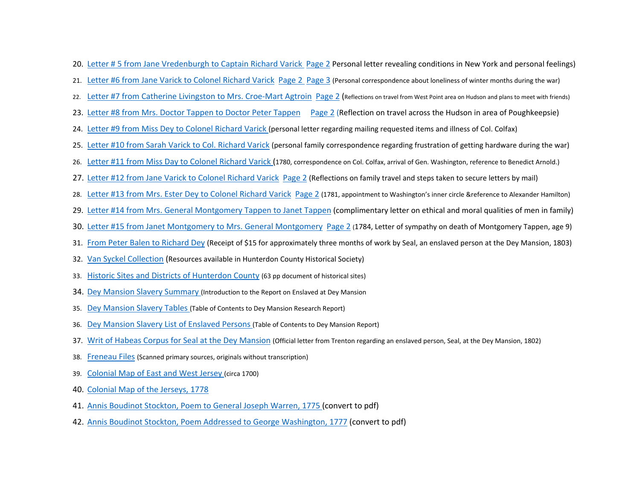- 20. [Letter # 5 from Jane Vredenburgh to Captain Richard Varick](https://d.docs.live.net/252d5c52120b98b7/Desktop/Am%20Revolution%20Focus%20Group/Resources-Dey-Mansion/Letter%20%5EN5%20from%20Jane%20Vredenburgh%20to%20Capt.%20Richard%20Varick-Page%202.pdf) [Page 2](https://drive.google.com/drive/folders/1fKjmf1WUfKrMhNxNPfi1TR3LAFEFnPWp) Personal letter revealing conditions in New York and personal feelings)
- 21. [Letter #6 from Jane Varick to Colonel Richard Varick](https://drive.google.com/file/d/1nIBfgnk0HUiWGrziz1Gp-bZPhiJreZKJ/view?usp=sharing) [Page 2](https://drive.google.com/file/d/1rCpU0zrP0mWlPfsTt0XTL_r3V64I7uGS/view?usp=sharing) [Page 3](https://drive.google.com/file/d/1hdDHdAA7oNHb_3KU9G0ShIfurBYrChjF/view?usp=sharing) (Personal correspondence about loneliness of winter months during the war)
- 22. [Letter #7 from Catherine Livingston to Mrs. Croe-Mart Agtroin](https://d.docs.live.net/252d5c52120b98b7/Desktop/Am%20Revolution%20Focus%20Group/Resources-Dey-Mansion/Letter%20%5EN7%20from%20Catherine%20Livingston%20to%20Mrs.%20Croe-Mart%20Agtroin-Page1.pdf) [Page 2](https://d.docs.live.net/252d5c52120b98b7/Desktop/Am%20Revolution%20Focus%20Group/Resources-Dey-Mansion/Letter%20%5EN7%20from%20Catherine%20Livingston%20to%20Mrs.%20Croe-Mart%20Agtroin-Page2.pdf) (Reflections on travel from West Point area on Hudson and plans to meet with friends)
- 23. [Letter #8 from Mrs. Doctor Tappen to Doctor Peter Tappen](https://d.docs.live.net/252d5c52120b98b7/Desktop/Am%20Revolution%20Focus%20Group/Resources-Dey-Mansion/Letter%20%5EN8%20from%20Mrs.%20Doctor%20Tappen%20to%20Doctor%20Peter%20Tappen-Page1.pdf) [Page 2](https://d.docs.live.net/252d5c52120b98b7/Desktop/Am%20Revolution%20Focus%20Group/Resources-Dey-Mansion/Letter%20%5EN8%20from%20Mrs.%20Doctor%20Tappen%20to%20Doctor%20Peter%20Tappen-Page2.pdf) (Reflection on travel across the Hudson in area of Poughkeepsie)
- 24. [Letter #9 from Miss Dey to Colonel Richard Varick](https://d.docs.live.net/252d5c52120b98b7/Desktop/Am%20Revolution%20Focus%20Group/Resources-Dey-Mansion/Letter%20%5EN9%20from%20Miss%20Dey%20to%20Col.%20Richard%20Varick.pdf) (personal letter regarding mailing requested items and illness of Col. Colfax)
- 25. [Letter #10 from Sarah Varick to Col. Richard Varick](https://d.docs.live.net/252d5c52120b98b7/Desktop/Am%20Revolution%20Focus%20Group/Resources-Dey-Mansion/Letter%20%5EN10%20from%20Sarah%20Varick%20to%20Col.%20Richard%20Varick.pdf) (personal family correspondence regarding frustration of getting hardware during the war)
- 26. [Letter #11 from Miss Day to Colonel Richard Varick](https://d.docs.live.net/252d5c52120b98b7/Desktop/Am%20Revolution%20Focus%20Group/Resources-Dey-Mansion/Letter%20%5EN11%20from%20Miss%20Day%20to%20Col.%20Richard%20Varick.pdf) (1780, correspondence on Col. Colfax, arrival of Gen. Washington, reference to Benedict Arnold.)
- 27. [Letter #12 from Jane Varick to Colonel Richard Varick](https://d.docs.live.net/252d5c52120b98b7/Desktop/Am%20Revolution%20Focus%20Group/Resources-Dey-Mansion/Letter%20%5EN12%20from%20Jane%20Varick%20to%20Col.%20Richard%20Varick-Page%201.pdf) [Page 2](https://d.docs.live.net/252d5c52120b98b7/Desktop/Am%20Revolution%20Focus%20Group/Resources-Dey-Mansion/Letter%20%5EN12%20from%20Jane%20Varick%20to%20Col.%20Richard%20Varick%20-Page%202.pdf) (Reflections on family travel and steps taken to secure letters by mail)
- 28. [Letter #13 from Mrs. Ester Dey to Colonel Richard Varick](https://d.docs.live.net/252d5c52120b98b7/Desktop/Am%20Revolution%20Focus%20Group/Resources-Dey-Mansion/Letter%20%5EN13%20from%20Mrs.%20Esther%20Dey%20to%20Col.%20Richard%20Varick-Page1.pdf) [Page 2](https://d.docs.live.net/252d5c52120b98b7/Desktop/Am%20Revolution%20Focus%20Group/Resources-Dey-Mansion/Letter%20%5EN13%20from%20Mrs.%20Esther%20Dey%20to%20Col.%20Richard%20Varrick-Page%202.pdf) (1781, appointment to Washington's inner circle &reference to Alexander Hamilton)
- 29. [Letter #14 from Mrs. General Montgomery Tappen to Janet Tappen](https://d.docs.live.net/252d5c52120b98b7/Desktop/Am%20Revolution%20Focus%20Group/Resources-Dey-Mansion/Letter%20%5EN14%20From%20Mrs.%20General%20Montgomery%20Tappen%20to%20Janet%20Tappen.pdf) (complimentary letter on ethical and moral qualities of men in family)
- 30. [Letter #15 from Janet Montgomery to Mrs. General Montgomery](https://d.docs.live.net/252d5c52120b98b7/Desktop/Am%20Revolution%20Focus%20Group/Resources-Dey-Mansion/Letter%20%5EN15%20from%20Janet%20Montgomery%20to%20Mrs.%20General%20Montgomery-Page%201.pdf) [Page 2](https://d.docs.live.net/252d5c52120b98b7/Desktop/Am%20Revolution%20Focus%20Group/Resources-Dey-Mansion/Letter%20%5EN15%20from%20Janet%20Montgomery%20to%20Mrs.%20General%20Montgomery-Page%202.pdf) (1784, Letter of sympathy on death of Montgomery Tappen, age 9)
- 31. [From Peter Balen to Richard Dey](https://d.docs.live.net/252d5c52120b98b7/Desktop/Am%20Revolution%20Focus%20Group/Resources-Dey-Mansion/Peter%20Balen%20to%20Richard%20Dey-for-Enslaved-Person-Seal.pdf) (Receipt of \$15 for approximately three months of work by Seal, an enslaved person at the Dey Mansion, 1803)
- 32. [Van Syckel Collection](https://d.docs.live.net/252d5c52120b98b7/Desktop/Am%20Revolution%20Focus%20Group/Resources%20for%20the%20American%20Revolution%20in%20New%20Jersey/Van-Syckel-Collection-12pp.pdf) (Resources available in Hunterdon County Historical Society)
- 33. [Historic Sites and Districts of Hunterdon County](https://d.docs.live.net/252d5c52120b98b7/Desktop/Am%20Revolution%20Focus%20Group/Resources%20for%20the%20American%20Revolution%20in%20New%20Jersey/Historic-Sites-and-Districts-of-Hunterdon-County.pdf) (63 pp document of historical sites)
- 34. [Dey Mansion Slavery Summary](https://d.docs.live.net/252d5c52120b98b7/Desktop/Am%20Revolution%20Focus%20Group/Resources-Dey-Mansion/Dey-Mansion-Slavery-Summary.jpeg) (Introduction to the Report on Enslaved at Dey Mansion
- 35. [Dey Mansion Slavery Tables](https://d.docs.live.net/252d5c52120b98b7/Desktop/Am%20Revolution%20Focus%20Group/Resources-Dey-Mansion/Dey-Mansion-Slavery-Tables.jpeg) (Table of Contents to Dey Mansion Research Report)
- 36. [Dey Mansion Slavery List of Enslaved Persons](https://d.docs.live.net/252d5c52120b98b7/Desktop/Am%20Revolution%20Focus%20Group/Resources-Dey-Mansion/Dey-Mansion-Slavery-List-of-Names.jpeg) (Table of Contents to Dey Mansion Report)
- 37. [Writ of Habeas Corpus for Seal at the Dey Mansion](https://d.docs.live.net/252d5c52120b98b7/Desktop/Am%20Revolution%20Focus%20Group/Resources-Dey-Mansion/Writ-of-Habeas-Corpus-for-Enslaved-Person-Seal-Richard-Dey-1802.pdf) (Official letter from Trenton regarding an enslaved person, Seal, at the Dey Mansion, 1802)
- 38. [Freneau Files](https://d.docs.live.net/252d5c52120b98b7/Desktop/Am%20Revolution%20Focus%20Group/Karen%20Smith/Freneau-20220120T115526Z-001.zip) (Scanned primary sources, originals without transcription)
- 39. [Colonial Map of East and West Jersey](https://d.docs.live.net/252d5c52120b98b7/Desktop/Am%20Revolution%20Focus%20Group/Resources-Philip%20Fithian/Colonial-Map-East-West-Jersey.pdf) (circa 1700)
- 40. [Colonial Map of the Jerseys, 1778](https://d.docs.live.net/252d5c52120b98b7/Desktop/Am%20Revolution%20Focus%20Group/Resources-Philip%20Fithian/Map-of-NJ-1778.pdf)
- 41. [Annis Boudinot Stockton, Poem to General Joseph Warren, 1775](https://d.docs.live.net/252d5c52120b98b7/Desktop/Am%20Revolution%20Focus%20Group/Resources%20for%20the%20American%20Revolution%20in%20New%20Jersey/Stockton-On%20hearing%20General%20Warren-1775.pdf) (convert to pdf)
- 42. [Annis Boudinot Stockton, Poem Addressed to George Washington, 1777](https://d.docs.live.net/252d5c52120b98b7/Desktop/Am%20Revolution%20Focus%20Group/Resources%20for%20the%20American%20Revolution%20in%20New%20Jersey/Stockton-Poem%20to%20Gen%20Washington%5EJ%201777.pdf) (convert to pdf)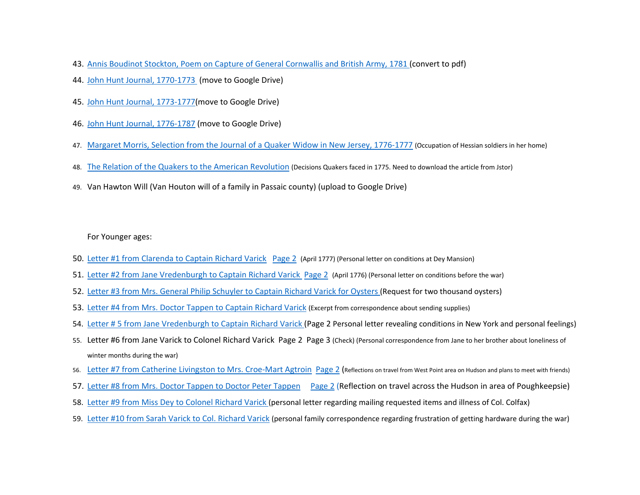- 43. [Annis Boudinot Stockton, Poem on Capture of General Cornwallis and British Army, 1781](https://d.docs.live.net/252d5c52120b98b7/Desktop/Am%20Revolution%20Focus%20Group/Resources%20for%20the%20American%20Revolution%20in%20New%20Jersey/Stockton-On%20hearing%20the%20news%20of%20the%20capture%20of%20Lord%20Cornwallis.pdf) (convert to pdf)
- 44. [John Hunt Journal, 1770-1773](1.%2509https:/digitalcollections.tricolib.brynmawr.edu/object/sc203239#page/1/mode/1up) (move to Google Drive)
- 45. [John Hunt Journal, 1773-1777\(](1.%2509https:/digitalcollections.tricolib.brynmawr.edu/object/sc203240#page/1/mode/1up)move to Google Drive)
- 46. [John Hunt Journal, 1776-1787](1.%2509https:/digitalcollections.tricolib.brynmawr.edu/object/sc203241#page/1/mode/1up) (move to Google Drive)
- 47. [Margaret Morris, Selection from the Journal of a Quaker Widow in New Jersey, 1776-1777](https://americainclass.org/sources/makingrevolution/war/text7/margaretmorrisnj.pdf?msclkid=0de1226db8be11ecaa61bb50831eea3a) (Occupation of Hessian soldiers in her home)
- 48. [The Relation of the Quakers to the American Revolution](https://www.jstor.org/stable/41946787) (Decisions Quakers faced in 1775. Need to download the article from Jstor)
- 49. Van Hawton Will (Van Houton will of a family in Passaic county) (upload to Google Drive)

For Younger ages:

- 50. [Letter #1 from Clarenda to Captain Richard Varick](https://d.docs.live.net/252d5c52120b98b7/Desktop/Am%20Revolution%20Focus%20Group/Resources-Dey-Mansion/Letter%20%5EN1%20from%20Clarenda%20to%20Capt%20Richard%20Varick-Page1.pdf) [Page 2](https://d.docs.live.net/252d5c52120b98b7/Desktop/Am%20Revolution%20Focus%20Group/Resources-Dey-Mansion/Letter%20%5EN1%20from%20Clarenda%20to%20Capt%20Richard%20Varick-Page%202.pdf) (April 1777) (Personal letter on conditions at Dey Mansion)
- 51. [Letter #2 from Jane Vredenburgh to Captain Richard Varick](https://d.docs.live.net/252d5c52120b98b7/Desktop/Am%20Revolution%20Focus%20Group/Resources-Dey-Mansion/Letter%20%5EN2%20from%20Jane%20Vredenburgh%20to%20Capt.%20Richard%20Varick.pdf) [Page 2](https://d.docs.live.net/252d5c52120b98b7/Desktop/Am%20Revolution%20Focus%20Group/Resources-Dey-Mansion/Letter%20%5EN2%20from%20Jane%20Vredenburgh%20to%20Capt.%20Richard%20Varick-Page2.pdf) (April 1776) (Personal letter on conditions before the war)
- 52. [Letter #3 from Mrs. General Philip Schuyler to Captain Richard Varick for Oysters](https://d.docs.live.net/252d5c52120b98b7/Desktop/Am%20Revolution%20Focus%20Group/Resources-Dey-Mansion/Letter%20%5EN3%20from%20Mrs.%20General%20Philip%20Schuyler%20to%20Capt%20Richard%20Varick%20for%20Oysters.pdf) (Request for two thousand oysters)
- 53. [Letter #4 from Mrs. Doctor Tappen to Captain Richard Varick](https://d.docs.live.net/252d5c52120b98b7/Desktop/Am%20Revolution%20Focus%20Group/Resources-Dey-Mansion/Letter%20%5EN4%20from%20Mrs.%20Doctor%20Tappen%20to%20Capt%20Richard%20Varick-Page2.pdf) (Excerpt from correspondence about sending supplies)
- 54. [Letter # 5 from Jane Vredenburgh to Captain Richard Varick](https://d.docs.live.net/252d5c52120b98b7/Desktop/Am%20Revolution%20Focus%20Group/Resources-Dey-Mansion/Letter%20%5EN5%20from%20Jane%20Vredenburgh%20to%20Capt.%20Richard%20Varick-Page%202.pdf) (Page 2 Personal letter revealing conditions in New York and personal feelings)
- 55. [Letter #6 from Jane Varick to Colonel Richard Varick](https://d.docs.live.net/252d5c52120b98b7/Desktop/Am%20Revolution%20Focus%20Group/Resources-Dey-Mansion/Letter%20%5EN6%20from%20Jane%20Varick%20to%20Col.%20Richard%20Varick-Page%201.pdf) [Page 2](https://d.docs.live.net/252d5c52120b98b7/Desktop/Am%20Revolution%20Focus%20Group/Resources-Dey-Mansion/Letter%20%5EN5%20from%20Jane%20Vredenburgh%20to%20Capt.%20Richard%20Varick-Page%202.pdf) [Page 3](https://d.docs.live.net/252d5c52120b98b7/Desktop/Am%20Revolution%20Focus%20Group/Resources-Dey-Mansion/Letter%20%5EN6%20from%20Jane%20Varick%20to%20Col.%20Richard%20Varick-Page%203.jpeg) (Check) (Personal correspondence from Jane to her brother about loneliness of winter months during the war)
- 56. [Letter #7 from Catherine Livingston to Mrs. Croe-Mart Agtroin](https://d.docs.live.net/252d5c52120b98b7/Desktop/Am%20Revolution%20Focus%20Group/Resources-Dey-Mansion/Letter%20%5EN7%20from%20Catherine%20Livingston%20to%20Mrs.%20Croe-Mart%20Agtroin-Page1.pdf) [Page 2](https://d.docs.live.net/252d5c52120b98b7/Desktop/Am%20Revolution%20Focus%20Group/Resources-Dey-Mansion/Letter%20%5EN7%20from%20Catherine%20Livingston%20to%20Mrs.%20Croe-Mart%20Agtroin-Page2.pdf) (Reflections on travel from West Point area on Hudson and plans to meet with friends)
- 57. [Letter #8 from Mrs. Doctor Tappen to Doctor Peter Tappen](https://d.docs.live.net/252d5c52120b98b7/Desktop/Am%20Revolution%20Focus%20Group/Resources-Dey-Mansion/Letter%20%5EN8%20from%20Mrs.%20Doctor%20Tappen%20to%20Doctor%20Peter%20Tappen-Page1.pdf) [Page 2](https://d.docs.live.net/252d5c52120b98b7/Desktop/Am%20Revolution%20Focus%20Group/Resources-Dey-Mansion/Letter%20%5EN8%20from%20Mrs.%20Doctor%20Tappen%20to%20Doctor%20Peter%20Tappen-Page2.pdf) (Reflection on travel across the Hudson in area of Poughkeepsie)
- 58. [Letter #9 from Miss Dey to Colonel Richard Varick](https://d.docs.live.net/252d5c52120b98b7/Desktop/Am%20Revolution%20Focus%20Group/Resources-Dey-Mansion/Letter%20%5EN9%20from%20Miss%20Dey%20to%20Col.%20Richard%20Varick.pdf) (personal letter regarding mailing requested items and illness of Col. Colfax)
- 59. [Letter #10 from Sarah Varick to Col. Richard Varick](https://d.docs.live.net/252d5c52120b98b7/Desktop/Am%20Revolution%20Focus%20Group/Resources-Dey-Mansion/Letter%20%5EN10%20from%20Sarah%20Varick%20to%20Col.%20Richard%20Varick.pdf) (personal family correspondence regarding frustration of getting hardware during the war)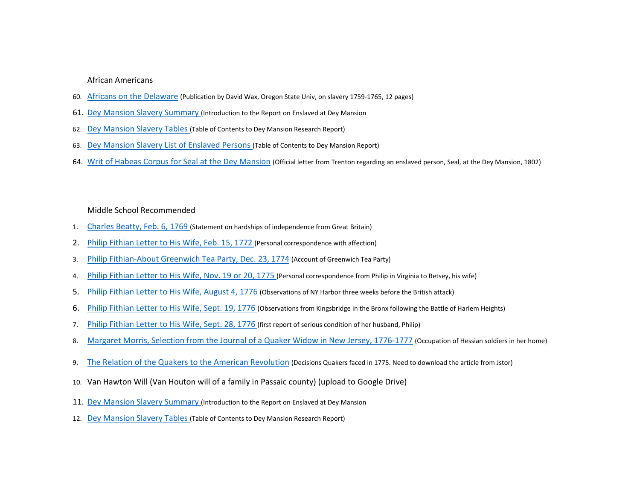### African Americans

- 60. [Africans on the Delaware](https://d.docs.live.net/252d5c52120b98b7/Desktop/Am%20Revolution%20Focus%20Group/Resources%20for%20the%20American%20Revolution%20in%20New%20Jersey/Africans-on-Delaware-12pp.pdf) (Publication by David Wax, Oregon State Univ, on slavery 1759-1765, 12 pages)
- 61. [Dey Mansion Slavery Summary](https://d.docs.live.net/252d5c52120b98b7/Desktop/Am%20Revolution%20Focus%20Group/Resources-Dey-Mansion/Dey-Mansion-Slavery-Summary.jpeg) (Introduction to the Report on Enslaved at Dey Mansion
- 62. [Dey Mansion Slavery Tables](https://d.docs.live.net/252d5c52120b98b7/Desktop/Am%20Revolution%20Focus%20Group/Resources-Dey-Mansion/Dey-Mansion-Slavery-Tables.jpeg) (Table of Contents to Dey Mansion Research Report)
- 63. [Dey Mansion Slavery List of Enslaved Persons](https://d.docs.live.net/252d5c52120b98b7/Desktop/Am%20Revolution%20Focus%20Group/Resources-Dey-Mansion/Dey-Mansion-Slavery-List-of-Names.jpeg) (Table of Contents to Dey Mansion Report)
- 64. [Writ of Habeas Corpus for Seal at the Dey Mansion](https://d.docs.live.net/252d5c52120b98b7/Desktop/Am%20Revolution%20Focus%20Group/Resources-Dey-Mansion/Writ-of-Habeas-Corpus-for-Enslaved-Person-Seal-Richard-Dey-1802.pdf) (Official letter from Trenton regarding an enslaved person, Seal, at the Dey Mansion, 1802)

#### Middle School Recommended

- 1. [Charles Beatty, Feb. 6, 1769](https://d.docs.live.net/252d5c52120b98b7/Desktop/Am%20Revolution%20Focus%20Group/Resources-Philip%20Fithian/Charles-Beatty-February-6-1769.pdf) (Statement on hardships of independence from Great Britain)
- 2. [Philip Fithian Letter to His Wife, Feb. 15, 1772](https://d.docs.live.net/252d5c52120b98b7/Desktop/Am%20Revolution%20Focus%20Group/Resources-Philip%20Fithian/Philip-Fithian%20Letter-to-His-Wife-February%2015-1772.pdf) (Personal correspondence with affection)
- 3. [Philip Fithian-About Greenwich Tea Party, Dec. 23, 1774](https://d.docs.live.net/252d5c52120b98b7/Desktop/Am%20Revolution%20Focus%20Group/Resources-Philip%20Fithian/Philip-Fithian-About-Greenwich-Tea-Party-Dec-23-1774.pdf) (Account of Greenwich Tea Party)
- 4. [Philip Fithian Letter to His Wife, Nov. 19 or 20, 1775](https://d.docs.live.net/252d5c52120b98b7/Desktop/Am%20Revolution%20Focus%20Group/Resources-Philip%20Fithian/Philip-Fithian-Letter-to-His-Wife-Nov-19-20-1775.pdf) (Personal correspondence from Philip in Virginia to Betsey, his wife)
- 5. [Philip Fithian Letter to His Wife, August 4, 1776](https://d.docs.live.net/252d5c52120b98b7/Desktop/Am%20Revolution%20Focus%20Group/Resources-Philip%20Fithian/Philip-Fithian-To-His-Wife-August-4-1776.pdf) (Observations of NY Harbor three weeks before the British attack)
- 6. [Philip Fithian Letter to His Wife, Sept. 19, 1776](https://d.docs.live.net/252d5c52120b98b7/Desktop/Am%20Revolution%20Focus%20Group/Resources-Philip%20Fithian/Philip-Fithian-Letter-to-His-Wife-Sept-19-1776.pdf) (Observations from Kingsbridge in the Bronx following the Battle of Harlem Heights)
- 7. [Philip Fithian Letter to His Wife, Sept. 28, 1776](https://d.docs.live.net/252d5c52120b98b7/Desktop/Am%20Revolution%20Focus%20Group/Resources-Philip%20Fithian/Philip-Fithian-Letter-to-His-Wife-Sept-28-1776.pdf) (first report of serious condition of her husband, Philip)
- 8. [Margaret Morris, Selection from the Journal of a Quaker Widow in New Jersey, 1776-1777](https://americainclass.org/sources/makingrevolution/war/text7/margaretmorrisnj.pdf?msclkid=0de1226db8be11ecaa61bb50831eea3a) (Occupation of Hessian soldiers in her home)
- 9. [The Relation of the Quakers to the American Revolution](https://www.jstor.org/stable/41946787) (Decisions Quakers faced in 1775. Need to download the article from Jstor)
- 10. Van Hawton Will (Van Houton will of a family in Passaic county) (upload to Google Drive)
- 11. [Dey Mansion Slavery Summary](https://d.docs.live.net/252d5c52120b98b7/Desktop/Am%20Revolution%20Focus%20Group/Resources-Dey-Mansion/Dey-Mansion-Slavery-Summary.jpeg) (Introduction to the Report on Enslaved at Dey Mansion
- 12. [Dey Mansion Slavery Tables](https://d.docs.live.net/252d5c52120b98b7/Desktop/Am%20Revolution%20Focus%20Group/Resources-Dey-Mansion/Dey-Mansion-Slavery-Tables.jpeg) (Table of Contents to Dey Mansion Research Report)